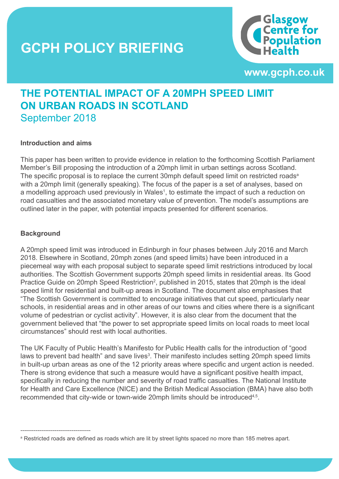### **THE SCPH POLICY BRIEFING THE SPEED LIMIT OF A 200 MPH SPEED LIMIT OF A 200 MPH SPEED LIMIT OF A 200 MPH SPEED LIMIT URBAN ROADS IN SCOTLAND**



**www.gcph.co.uk**

**1**

### **THE POTENTIAL IMPACT OF A 20MPH SPEED LIMIT ON URBAN ROADS IN SCOTLAND** September 2018

#### **Introduction and aims**

This paper has been written to provide evidence in relation to the forthcoming Scottish Parliament Member's Bill proposing the introduction of a 20mph limit in urban settings across Scotland. The specific proposal is to replace the current 30mph default speed limit on restricted roads<sup>a</sup> with a 20mph limit (generally speaking). The focus of the paper is a set of analyses, based on a modelling approach used previously in Wales<sup>1</sup>, to estimate the impact of such a reduction on road casualties and the associated monetary value of prevention. The model's assumptions are outlined later in the paper, with potential impacts presented for different scenarios.

#### **Background**

**www.gcph.co.uk**

-------------------------------------

A 20mph speed limit was introduced in Edinburgh in four phases between July 2016 and March 2018. Elsewhere in Scotland, 20mph zones (and speed limits) have been introduced in a piecemeal way with each proposal subject to separate speed limit restrictions introduced by local authorities. The Scottish Government supports 20mph speed limits in residential areas. Its Good Practice Guide on 20mph Speed Restriction<sup>2</sup>, published in 2015, states that 20mph is the ideal speed limit for residential and built-up areas in Scotland. The document also emphasises that "The Scottish Government is committed to encourage initiatives that cut speed, particularly near schools, in residential areas and in other areas of our towns and cities where there is a significant volume of pedestrian or cyclist activity". However, it is also clear from the document that the government believed that "the power to set appropriate speed limits on local roads to meet local circumstances" should rest with local authorities.

The UK Faculty of Public Health's Manifesto for Public Health calls for the introduction of "good laws to prevent bad health" and save lives<sup>3</sup>. Their manifesto includes setting 20mph speed limits in built-up urban areas as one of the 12 priority areas where specific and urgent action is needed. There is strong evidence that such a measure would have a significant positive health impact, specifically in reducing the number and severity of road traffic casualties. The National Institute for Health and Care Excellence (NICE) and the British Medical Association (BMA) have also both recommended that city-wide or town-wide 20mph limits should be introduced<sup>4,5</sup>.

a Restricted roads are defined as roads which are lit by street lights spaced no more than 185 metres apart.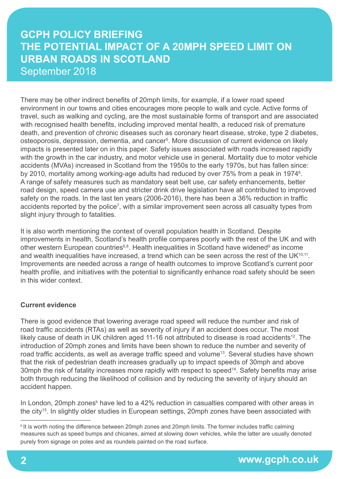There may be other indirect benefits of 20mph limits, for example, if a lower road speed environment in our towns and cities encourages more people to walk and cycle. Active forms of travel, such as walking and cycling, are the most sustainable forms of transport and are associated with recognised health benefits, including improved mental health, a reduced risk of premature death, and prevention of chronic diseases such as coronary heart disease, stroke, type 2 diabetes, osteoporosis, depression, dementia, and cancer5 . More discussion of current evidence on likely impacts is presented later on in this paper. Safety issues associated with roads increased rapidly with the growth in the car industry, and motor vehicle use in general. Mortality due to motor vehicle accidents (MVAs) increased in Scotland from the 1950s to the early 1970s, but has fallen since: by 2010, mortality among working-age adults had reduced by over 75% from a peak in 1974<sup>6</sup>. A range of safety measures such as mandatory seat belt use, car safety enhancements, better road design, speed camera use and stricter drink drive legislation have all contributed to improved safety on the roads. In the last ten years (2006-2016), there has been a 36% reduction in traffic accidents reported by the police<sup>7</sup>, with a similar improvement seen across all casualty types from slight injury through to fatalities.

It is also worth mentioning the context of overall population health in Scotland. Despite improvements in health, Scotland's health profile compares poorly with the rest of the UK and with other western European countries<sup>6,8</sup>. Health inequalities in Scotland have widened<sup>9</sup> as income and wealth inequalities have increased, a trend which can be seen across the rest of the UK $10,11$ . Improvements are needed across a range of health outcomes to improve Scotland's current poor health profile, and initiatives with the potential to significantly enhance road safety should be seen in this wider context.

#### **Current evidence**

There is good evidence that lowering average road speed will reduce the number and risk of road traffic accidents (RTAs) as well as severity of injury if an accident does occur. The most likely cause of death in UK children aged 11-16 not attributed to disease is road accidents<sup>12</sup>. The introduction of 20mph zones and limits have been shown to reduce the number and severity of road traffic accidents, as well as average traffic speed and volume<sup>13</sup>. Several studies have shown that the risk of pedestrian death increases gradually up to impact speeds of 30mph and above 30mph the risk of fatality increases more rapidly with respect to speed<sup>14</sup>. Safety benefits may arise both through reducing the likelihood of collision and by reducing the severity of injury should an accident happen.

In London, 20mph zones<sup>b</sup> have led to a 42% reduction in casualties compared with other areas in the city<sup>15</sup>. In slightly older studies in European settings, 20mph zones have been associated with

<sup>-------------------------------------</sup> <sup>b</sup>It is worth noting the difference between 20mph zones and 20mph limits. The former includes traffic calming measures such as speed bumps and chicanes, aimed at slowing down vehicles, while the latter are usually denoted purely from signage on poles and as roundels painted on the road surface.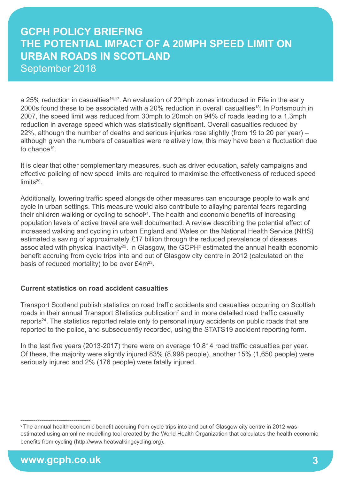a 25% reduction in casualties<sup>16,17</sup>. An evaluation of 20mph zones introduced in Fife in the early 2000s found these to be associated with a 20% reduction in overall casualties<sup>18</sup>. In Portsmouth in 2007, the speed limit was reduced from 30mph to 20mph on 94% of roads leading to a 1.3mph reduction in average speed which was statistically significant. Overall casualties reduced by 22%, although the number of deaths and serious injuries rose slightly (from 19 to 20 per year) – although given the numbers of casualties were relatively low, this may have been a fluctuation due to chance<sup>19</sup>

It is clear that other complementary measures, such as driver education, safety campaigns and effective policing of new speed limits are required to maximise the effectiveness of reduced speed limits<sup>20</sup>.

Additionally, lowering traffic speed alongside other measures can encourage people to walk and cycle in urban settings. This measure would also contribute to allaying parental fears regarding their children walking or cycling to school<sup>21</sup>. The health and economic benefits of increasing population levels of active travel are well documented. A review describing the potential effect of increased walking and cycling in urban England and Wales on the National Health Service (NHS) estimated a saving of approximately £17 billion through the reduced prevalence of diseases associated with physical inactivity<sup>22</sup>. In Glasgow, the GCPH $\textdegree$  estimated the annual health economic benefit accruing from cycle trips into and out of Glasgow city centre in 2012 (calculated on the basis of reduced mortality) to be over £4m<sup>23</sup>.

#### **Current statistics on road accident casualties**

Transport Scotland publish statistics on road traffic accidents and casualties occurring on Scottish roads in their annual Transport Statistics publication<sup>7</sup> and in more detailed road traffic casualty reports<sup>24</sup>. The statistics reported relate only to personal injury accidents on public roads that are reported to the police, and subsequently recorded, using the STATS19 accident reporting form.

In the last five years (2013-2017) there were on average 10,814 road traffic casualties per year. Of these, the majority were slightly injured 83% (8,998 people), another 15% (1,650 people) were seriously injured and 2% (176 people) were fatally injured.

<sup>-------------------------------------</sup> <sup>c</sup>The annual health economic benefit accruing from cycle trips into and out of Glasgow city centre in 2012 was estimated using an online modelling tool created by the World Health Organization that calculates the health economic benefits from cycling (http://www.heatwalkingcycling.org).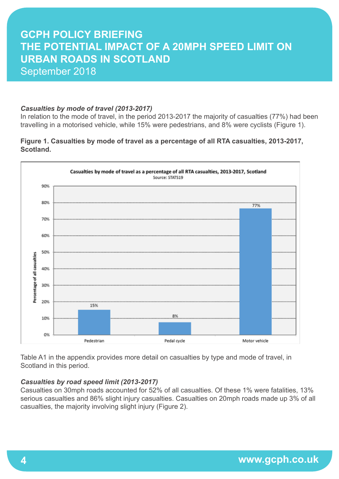#### *Casualties by mode of travel (2013-2017)*

In relation to the mode of travel, in the period 2013-2017 the majority of casualties (77%) had been travelling in a motorised vehicle, while 15% were pedestrians, and 8% were cyclists (Figure 1).

#### **Figure 1. Casualties by mode of travel as a percentage of all RTA casualties, 2013-2017, Scotland.**



Table A1 in the appendix provides more detail on casualties by type and mode of travel, in Scotland in this period.

#### *Casualties by road speed limit (2013-2017)*

Casualties on 30mph roads accounted for 52% of all casualties. Of these 1% were fatalities, 13% serious casualties and 86% slight injury casualties. Casualties on 20mph roads made up 3% of all casualties, the majority involving slight injury (Figure 2).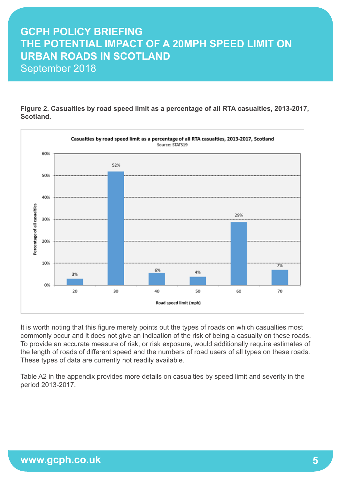**Figure 2. Casualties by road speed limit as a percentage of all RTA casualties, 2013-2017, Scotland.**



It is worth noting that this figure merely points out the types of roads on which casualties most commonly occur and it does not give an indication of the risk of being a casualty on these roads. To provide an accurate measure of risk, or risk exposure, would additionally require estimates of the length of roads of different speed and the numbers of road users of all types on these roads. These types of data are currently not readily available.

Table A2 in the appendix provides more details on casualties by speed limit and severity in the period 2013-2017.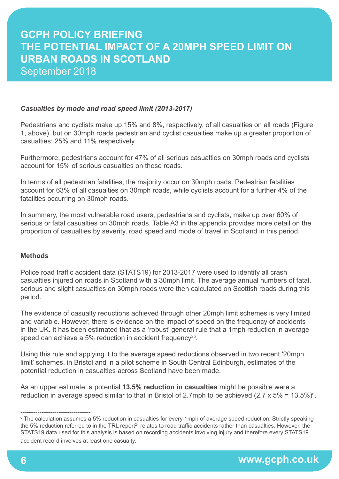#### *Casualties by mode and road speed limit (2013-2017)*

Pedestrians and cyclists make up 15% and 8%, respectively, of all casualties on all roads (Figure 1, above), but on 30mph roads pedestrian and cyclist casualties make up a greater proportion of casualties: 25% and 11% respectively.

Furthermore, pedestrians account for 47% of all serious casualties on 30mph roads and cyclists account for 15% of serious casualties on these roads.

In terms of all pedestrian fatalities, the majority occur on 30mph roads. Pedestrian fatalities account for 63% of all casualties on 30mph roads, while cyclists account for a further 4% of the fatalities occurring on 30mph roads.

In summary, the most vulnerable road users, pedestrians and cyclists, make up over 60% of serious or fatal casualties on 30mph roads. Table A3 in the appendix provides more detail on the proportion of casualties by severity, road speed and mode of travel in Scotland in this period.

#### **Methods**

Police road traffic accident data (STATS19) for 2013-2017 were used to identify all crash casualties injured on roads in Scotland with a 30mph limit. The average annual numbers of fatal, serious and slight casualties on 30mph roads were then calculated on Scottish roads during this period.

The evidence of casualty reductions achieved through other 20mph limit schemes is very limited and variable. However, there is evidence on the impact of speed on the frequency of accidents in the UK. It has been estimated that as a 'robust' general rule that a 1mph reduction in average speed can achieve a 5% reduction in accident frequency<sup>25</sup>.

Using this rule and applying it to the average speed reductions observed in two recent '20mph limit' schemes, in Bristol and in a pilot scheme in South Central Edinburgh, estimates of the potential reduction in casualties across Scotland have been made.

As an upper estimate, a potential **13.5% reduction in casualties** might be possible were a reduction in average speed similar to that in Bristol of 2.7mph to be achieved (2.7 x 5% = 13.5%)<sup>d</sup>.

<sup>------------------------------------</sup> d The calculation assumes a 5% reduction in casualties for every 1mph of average speed reduction. Strictly speaking the 5% reduction referred to in the TRL report<sup>24</sup> relates to road traffic accidents rather than casualties. However, the STATS19 data used for this analysis is based on recording accidents involving injury and therefore every STATS19 accident record involves at least one casualty.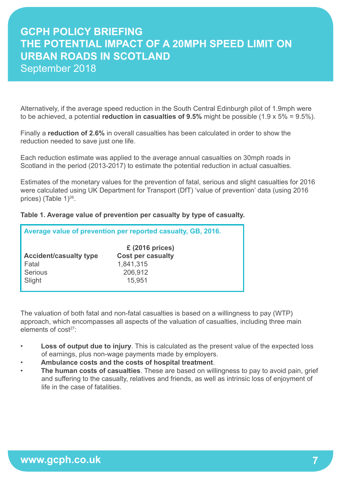Alternatively, if the average speed reduction in the South Central Edinburgh pilot of 1.9mph were to be achieved, a potential **reduction in casualties of 9.5%** might be possible (1.9 x 5% = 9.5%).

Finally a **reduction of 2.6%** in overall casualties has been calculated in order to show the reduction needed to save just one life.

Each reduction estimate was applied to the average annual casualties on 30mph roads in Scotland in the period (2013-2017) to estimate the potential reduction in actual casualties.

Estimates of the monetary values for the prevention of fatal, serious and slight casualties for 2016 were calculated using UK Department for Transport (DfT) 'value of prevention' data (using 2016 prices) (Table 1)<sup>26</sup>.

#### **Table 1. Average value of prevention per casualty by type of casualty.**

| Average value of prevention per reported casualty, GB, 2016. |                          |  |  |  |  |  |  |
|--------------------------------------------------------------|--------------------------|--|--|--|--|--|--|
|                                                              | $£$ (2016 prices)        |  |  |  |  |  |  |
| <b>Accident/casualty type</b>                                | <b>Cost per casualty</b> |  |  |  |  |  |  |
| Fatal                                                        | 1,841,315                |  |  |  |  |  |  |
| Serious                                                      | 206,912                  |  |  |  |  |  |  |
| Slight                                                       | 15,951                   |  |  |  |  |  |  |
|                                                              |                          |  |  |  |  |  |  |

The valuation of both fatal and non-fatal casualties is based on a willingness to pay (WTP) approach, which encompasses all aspects of the valuation of casualties, including three main elements of cost27:

- **Loss of output due to injury**. This is calculated as the present value of the expected loss of earnings, plus non-wage payments made by employers.
- **Ambulance costs and the costs of hospital treatment**.
- **The human costs of casualties**. These are based on willingness to pay to avoid pain, grief and suffering to the casualty, relatives and friends, as well as intrinsic loss of enjoyment of life in the case of fatalities.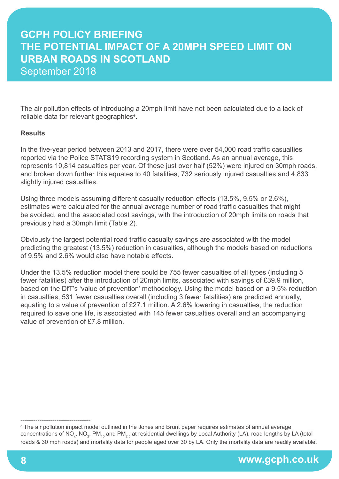The air pollution effects of introducing a 20mph limit have not been calculated due to a lack of reliable data for relevant geographies<sup>e</sup>.

#### **Results**

In the five-year period between 2013 and 2017, there were over 54,000 road traffic casualties reported via the Police STATS19 recording system in Scotland. As an annual average, this represents 10,814 casualties per year. Of these just over half (52%) were injured on 30mph roads, and broken down further this equates to 40 fatalities, 732 seriously injured casualties and 4,833 slightly injured casualties.

Using three models assuming different casualty reduction effects (13.5%, 9.5% or 2.6%), estimates were calculated for the annual average number of road traffic casualties that might be avoided, and the associated cost savings, with the introduction of 20mph limits on roads that previously had a 30mph limit (Table 2).

Obviously the largest potential road traffic casualty savings are associated with the model predicting the greatest (13.5%) reduction in casualties, although the models based on reductions of 9.5% and 2.6% would also have notable effects.

Under the 13.5% reduction model there could be 755 fewer casualties of all types (including 5 fewer fatalities) after the introduction of 20mph limits, associated with savings of £39.9 million, based on the DfT's 'value of prevention' methodology. Using the model based on a 9.5% reduction in casualties, 531 fewer casualties overall (including 3 fewer fatalities) are predicted annually, equating to a value of prevention of £27.1 million. A 2.6% lowering in casualties, the reduction required to save one life, is associated with 145 fewer casualties overall and an accompanying value of prevention of £7.8 million.

<sup>------------------------------------</sup> e The air pollution impact model outlined in the Jones and Brunt paper requires estimates of annual average concentrations of NO<sub>x</sub>, NO<sub>2</sub>, PM<sub>10</sub> and PM<sub>2.5</sub> at residential dwellings by Local Authority (LA), road lengths by LA (total roads & 30 mph roads) and mortality data for people aged over 30 by LA. Only the mortality data are readily available.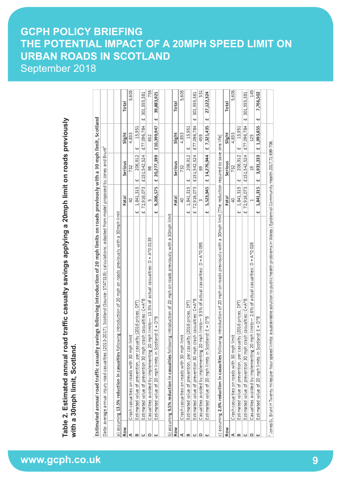**www.gcph.co.uk Table 2. Estimated annual road traffic casualty savings applying a 20mph limit on roads previously with a 30mph limit, Scotland.**

|     | savings following introduction of 20 mph limits on roads previously with a 30 mph limit, Scotland<br>Estimated annual road traffic casualty                                |                       |                |             |                   |
|-----|----------------------------------------------------------------------------------------------------------------------------------------------------------------------------|-----------------------|----------------|-------------|-------------------|
|     | $113\text{-}2017$ ), Scotland (Source: STATS19); calculations: adapted from model proposed by Jones and Brunt'<br>Data: average annual injury road casualties (20          |                       |                |             |                   |
|     |                                                                                                                                                                            |                       |                |             |                   |
|     | lowing introduction of 20 mph on roads previously with a 30mph limit<br>a) assuming 13.5% reduction in casualties fol                                                      |                       |                |             |                   |
| Row |                                                                                                                                                                            | Fatal                 | Serious        | Slight      | Total             |
|     | İmit<br>Crash casualties on roads with 30 mph                                                                                                                              | ₽                     | 732            | 4,833       | 5,605             |
| B   | ualty (2016 prices, DfT)<br>Estimated value of prevention, per cas                                                                                                         | 1,841,315<br>щ        | 206,912<br>щ   | 15,951<br>щ |                   |
|     | crash casualties: C=A*B<br>Estimated value of prevention 30 mph                                                                                                            | 72.916.073<br>щ       | £151,542,524   | £77,096,784 | 301,555,381<br>44 |
| ≏   | <code>Casualties</code> avoided by implementing 20 mph limits— 13.5% of actual casualties: D = A*0.0135                                                                    | m                     | တ္တ            | 652         | 755               |
| ш   | otland: $E = D*B$<br>Estimated value of 20 mph limits in Scr                                                                                                               | 9,206,575<br>щ        | £ 20,277,399   | £10,399,947 | 39,883,921<br>щ   |
|     |                                                                                                                                                                            |                       |                |             |                   |
|     | b) assuming 9.5% reduction in casualties following introduction of 20 mph on roads previously with a 30mph limit                                                           |                       |                |             |                   |
| Row |                                                                                                                                                                            | Fatal                 | Serious        | Slight      | Total             |
| c   | limit<br>Crash casualties on roads with 30 mph                                                                                                                             | đ                     | 732            | 4,833       | 5,605             |
| B   | ualty (2016 prices, DfT)<br>Estimated value of prevention, per cas                                                                                                         | 1,841,315<br>щ        | 206,912<br>щ   | 15,951<br>щ |                   |
|     | crash casualties: C=A*B<br>Estimated value of prevention 30 mph                                                                                                            | 72,916,073<br>.<br>41 | £151,542,524   | £77,096,784 | £ 301,555,381     |
| ≏   | Casualties avoided by implementing 20 mph limits— 9.5% of actual casualties: D = A*0.095                                                                                   | m                     | 8              | 459         | 531               |
|     | Estimated value of 20 mph limits in Scotland: E = D*B                                                                                                                      | 5,523,945<br>44       | £ 14,276,944   | £7,321,435  | 27,122,324<br>44  |
|     |                                                                                                                                                                            |                       |                |             |                   |
|     | c) assuming 2.6% reduction in casaulties following introduction of 20 mph on roads previously with a 30mph limit [The reduction required to save one life]                 |                       |                |             |                   |
| Row |                                                                                                                                                                            | Fatal                 | Serious        | Slight      | Total             |
| c   | İmit<br>Crash casualties on roads with 30 mph                                                                                                                              | đ                     | 732            | 4,833       | 5,605             |
| B   | ualty (2016 prices, DfT)<br>Estimated value of prevention, per cas                                                                                                         | 1,841,315<br>щ        | 206,912<br>щ   | 15,951<br>щ |                   |
|     | crash casualties: C=A*B<br>Estimated value of prevention 30 mph                                                                                                            | 72,916,073<br>щ       | £151,542,524   | £77,096,784 | 301,555,381<br>щ  |
| ≏   | <code>Casualties</code> avoided by implementing 20 mph limits $-$ 2.6% of actual casualties: D = A*0.026                                                                   |                       | g              | 125         | 145               |
| ш   | Estimated value of 20 mph limits in Scotland: E = D*B                                                                                                                      | 1,841,315<br>щ        | 3,931,333<br>₩ | £ 1,993,855 | 7,766,502<br>щ    |
|     |                                                                                                                                                                            |                       |                |             |                   |
|     | <sup>1</sup> Jones SJ, Brunt H Twenty miles per hour speed limits: a sustainable solution to public health problems in Wales J Epidemiol Community Health 2017;71:699-706. |                       |                |             |                   |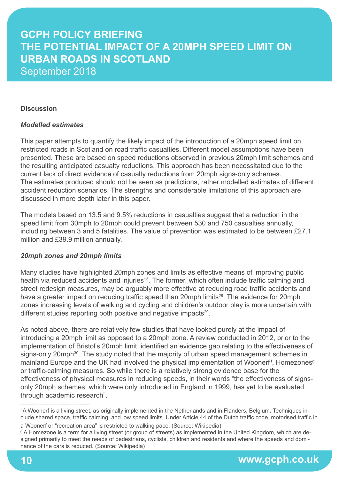#### **Discussion**

#### *Modelled estimates*

This paper attempts to quantify the likely impact of the introduction of a 20mph speed limit on restricted roads in Scotland on road traffic casualties. Different model assumptions have been presented. These are based on speed reductions observed in previous 20mph limit schemes and the resulting anticipated casualty reductions. This approach has been necessitated due to the current lack of direct evidence of casualty reductions from 20mph signs-only schemes. The estimates produced should not be seen as predictions, rather modelled estimates of different accident reduction scenarios. The strengths and considerable limitations of this approach are discussed in more depth later in this paper.

The models based on 13.5 and 9.5% reductions in casualties suggest that a reduction in the speed limit from 30mph to 20mph could prevent between 530 and 750 casualties annually, including between 3 and 5 fatalities. The value of prevention was estimated to be between £27.1 million and £39.9 million annually.

#### *20mph zones and 20mph limits*

Many studies have highlighted 20mph zones and limits as effective means of improving public health via reduced accidents and injuries<sup>13</sup>. The former, which often include traffic calming and street redesign measures, may be arguably more effective at reducing road traffic accidents and have a greater impact on reducing traffic speed than 20mph limits<sup>28</sup>. The evidence for 20mph zones increasing levels of walking and cycling and children's outdoor play is more uncertain with different studies reporting both positive and negative impacts<sup>29</sup>.

As noted above, there are relatively few studies that have looked purely at the impact of introducing a 20mph limit as opposed to a 20mph zone. A review conducted in 2012, prior to the implementation of Bristol's 20mph limit, identified an evidence gap relating to the effectiveness of signs-only 20mph<sup>30</sup>. The study noted that the majority of urban speed management schemes in mainland Europe and the UK had involved the physical implementation of Woonerf<sup>f</sup>, Homezones<sup>9</sup> or traffic-calming measures. So while there is a relatively strong evidence base for the effectiveness of physical measures in reducing speeds, in their words "the effectiveness of signsonly 20mph schemes, which were only introduced in England in 1999, has yet to be evaluated through academic research".

<sup>------------------------------------</sup> f A Woonerf is a living street, as originally implemented in the Netherlands and in Flanders, Belgium. Techniques include shared space, traffic calming, and low speed limits. Under Article 44 of the Dutch traffic code, motorised traffic in

a Woonerf or "recreation area" is restricted to walking pace. (Source: Wikipedia)

<sup>&</sup>lt;sup>g</sup> A Homezone is a term for a living street (or group of streets) as implemented in the United Kingdom, which are designed primarily to meet the needs of pedestrians, cyclists, children and residents and where the speeds and dominance of the cars is reduced. (Source: Wikipedia)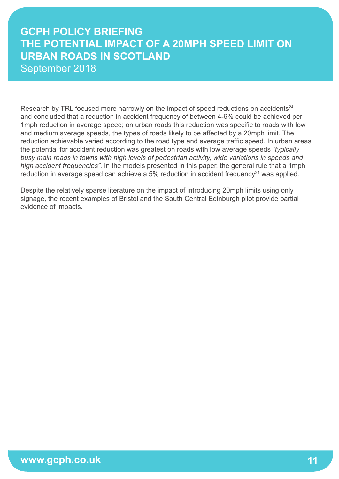Research by TRL focused more narrowly on the impact of speed reductions on accidents<sup>24</sup> and concluded that a reduction in accident frequency of between 4-6% could be achieved per 1mph reduction in average speed; on urban roads this reduction was specific to roads with low and medium average speeds, the types of roads likely to be affected by a 20mph limit. The reduction achievable varied according to the road type and average traffic speed. In urban areas the potential for accident reduction was greatest on roads with low average speeds *"typically busy main roads in towns with high levels of pedestrian activity, wide variations in speeds and high accident frequencies"*. In the models presented in this paper, the general rule that a 1mph reduction in average speed can achieve a  $5\%$  reduction in accident frequency<sup>24</sup> was applied.

Despite the relatively sparse literature on the impact of introducing 20mph limits using only signage, the recent examples of Bristol and the South Central Edinburgh pilot provide partial evidence of impacts.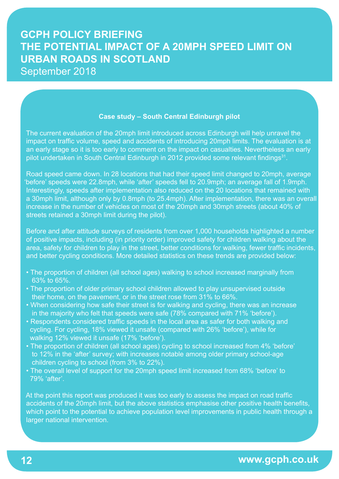#### **Case study – South Central Edinburgh pilot**

 The current evaluation of the 20mph limit introduced across Edinburgh will help unravel the impact on traffic volume, speed and accidents of introducing 20mph limits. The evaluation is at an early stage so it is too early to comment on the impact on casualties. Nevertheless an early pilot undertaken in South Central Edinburgh in 2012 provided some relevant findings<sup>31</sup>.

 Road speed came down. In 28 locations that had their speed limit changed to 20mph, average 'before' speeds were 22.8mph, while 'after' speeds fell to 20.9mph; an average fall of 1.9mph. Interestingly, speeds after implementation also reduced on the 20 locations that remained with a 30mph limit, although only by 0.8mph (to 25.4mph). After implementation, there was an overall increase in the number of vehicles on most of the 20mph and 30mph streets (about 40% of streets retained a 30mph limit during the pilot).

 Before and after attitude surveys of residents from over 1,000 households highlighted a number of positive impacts, including (in priority order) improved safety for children walking about the area, safety for children to play in the street, better conditions for walking, fewer traffic incidents, and better cycling conditions. More detailed statistics on these trends are provided below:

- The proportion of children (all school ages) walking to school increased marginally from 63% to 65%.
- The proportion of older primary school children allowed to play unsupervised outside their home, on the pavement, or in the street rose from 31% to 66%.
- When considering how safe their street is for walking and cycling, there was an increase in the majority who felt that speeds were safe (78% compared with 71% 'before').
- Respondents considered traffic speeds in the local area as safer for both walking and cycling. For cycling, 18% viewed it unsafe (compared with 26% 'before'), while for walking 12% viewed it unsafe (17% 'before').
- The proportion of children (all school ages) cycling to school increased from 4% 'before' to 12% in the 'after' survey; with increases notable among older primary school-age children cycling to school (from 3% to 22%).
- The overall level of support for the 20mph speed limit increased from 68% 'before' to 79% 'after'.

 At the point this report was produced it was too early to assess the impact on road traffic accidents of the 20mph limit, but the above statistics emphasise other positive health benefits, which point to the potential to achieve population level improvements in public health through a larger national intervention.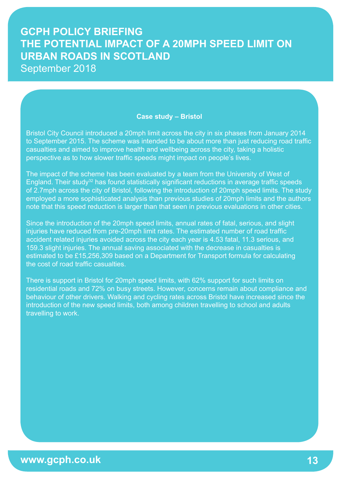#### **Case study – Bristol**

 Bristol City Council introduced a 20mph limit across the city in six phases from January 2014 to September 2015. The scheme was intended to be about more than just reducing road traffic casualties and aimed to improve health and wellbeing across the city, taking a holistic perspective as to how slower traffic speeds might impact on people's lives.

 The impact of the scheme has been evaluated by a team from the University of West of England. Their study<sup>32</sup> has found statistically significant reductions in average traffic speeds of 2.7mph across the city of Bristol, following the introduction of 20mph speed limits. The study employed a more sophisticated analysis than previous studies of 20mph limits and the authors note that this speed reduction is larger than that seen in previous evaluations in other cities.

 Since the introduction of the 20mph speed limits, annual rates of fatal, serious, and slight injuries have reduced from pre-20mph limit rates. The estimated number of road traffic accident related injuries avoided across the city each year is 4.53 fatal, 11.3 serious, and 159.3 slight injuries. The annual saving associated with the decrease in casualties is estimated to be £15,256,309 based on a Department for Transport formula for calculating the cost of road traffic casualties.

 There is support in Bristol for 20mph speed limits, with 62% support for such limits on residential roads and 72% on busy streets. However, concerns remain about compliance and behaviour of other drivers. Walking and cycling rates across Bristol have increased since the introduction of the new speed limits, both among children travelling to school and adults travelling to work.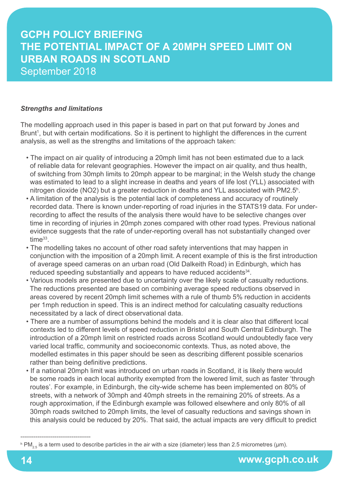#### *Strengths and limitations*

The modelling approach used in this paper is based in part on that put forward by Jones and Brunt<sup>1</sup>, but with certain modifications. So it is pertinent to highlight the differences in the current analysis, as well as the strengths and limitations of the approach taken:

- The impact on air quality of introducing a 20mph limit has not been estimated due to a lack of reliable data for relevant geographies. However the impact on air quality, and thus health, of switching from 30mph limits to 20mph appear to be marginal; in the Welsh study the change was estimated to lead to a slight increase in deaths and years of life lost (YLL) associated with nitrogen dioxide (NO2) but a greater reduction in deaths and YLL associated with PM2.5<sup>h</sup>.
	- A limitation of the analysis is the potential lack of completeness and accuracy of routinely recorded data. There is known under-reporting of road injuries in the STATS19 data. For under recording to affect the results of the analysis there would have to be selective changes over time in recording of injuries in 20mph zones compared with other road types. Previous national evidence suggests that the rate of under-reporting overall has not substantially changed over time<sup>33</sup>.
	- The modelling takes no account of other road safety interventions that may happen in conjunction with the imposition of a 20mph limit. A recent example of this is the first introduction of average speed cameras on an urban road (Old Dalkeith Road) in Edinburgh, which has reduced speeding substantially and appears to have reduced accidents<sup>34</sup>.
	- Various models are presented due to uncertainty over the likely scale of casualty reductions. The reductions presented are based on combining average speed reductions observed in areas covered by recent 20mph limit schemes with a rule of thumb 5% reduction in accidents per 1mph reduction in speed. This is an indirect method for calculating casualty reductions necessitated by a lack of direct observational data.
	- There are a number of assumptions behind the models and it is clear also that different local contexts led to different levels of speed reduction in Bristol and South Central Edinburgh. The introduction of a 20mph limit on restricted roads across Scotland would undoubtedly face very varied local traffic, community and socioeconomic contexts. Thus, as noted above, the modelled estimates in this paper should be seen as describing different possible scenarios rather than being definitive predictions.
	- If a national 20mph limit was introduced on urban roads in Scotland, it is likely there would be some roads in each local authority exempted from the lowered limit, such as faster 'through routes'. For example, in Edinburgh, the city-wide scheme has been implemented on 80% of streets, with a network of 30mph and 40mph streets in the remaining 20% of streets. As a rough approximation, if the Edinburgh example was followed elsewhere and only 80% of all 30mph roads switched to 20mph limits, the level of casualty reductions and savings shown in this analysis could be reduced by 20%. That said, the actual impacts are very difficult to predict

-------------------------------------

 $^{\rm h}$  PM $_{2.5}$  is a term used to describe particles in the air with a size (diameter) less than 2.5 micrometres (µm).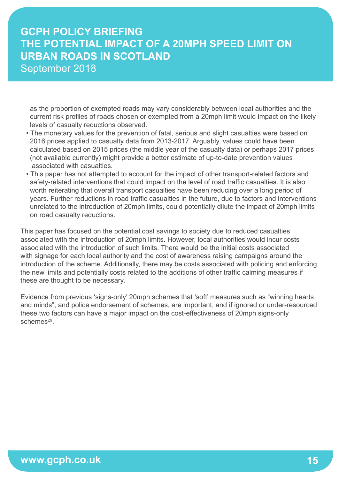as the proportion of exempted roads may vary considerably between local authorities and the current risk profiles of roads chosen or exempted from a 20mph limit would impact on the likely levels of casualty reductions observed.

- The monetary values for the prevention of fatal, serious and slight casualties were based on 2016 prices applied to casualty data from 2013-2017. Arguably, values could have been calculated based on 2015 prices (the middle year of the casualty data) or perhaps 2017 prices (not available currently) might provide a better estimate of up-to-date prevention values associated with casualties.
- This paper has not attempted to account for the impact of other transport-related factors and safety-related interventions that could impact on the level of road traffic casualties. It is also worth reiterating that overall transport casualties have been reducing over a long period of years. Further reductions in road traffic casualties in the future, due to factors and interventions unrelated to the introduction of 20mph limits, could potentially dilute the impact of 20mph limits on road casualty reductions.

This paper has focused on the potential cost savings to society due to reduced casualties associated with the introduction of 20mph limits. However, local authorities would incur costs associated with the introduction of such limits. There would be the initial costs associated with signage for each local authority and the cost of awareness raising campaigns around the introduction of the scheme. Additionally, there may be costs associated with policing and enforcing the new limits and potentially costs related to the additions of other traffic calming measures if these are thought to be necessary.

Evidence from previous 'signs-only' 20mph schemes that 'soft' measures such as "winning hearts and minds", and police endorsement of schemes, are important, and if ignored or under-resourced these two factors can have a major impact on the cost-effectiveness of 20mph signs-only schemes<sup>29</sup>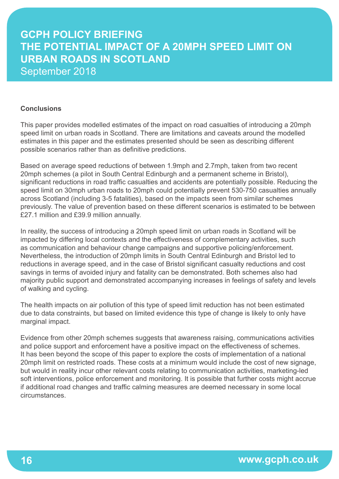#### **Conclusions**

This paper provides modelled estimates of the impact on road casualties of introducing a 20mph speed limit on urban roads in Scotland. There are limitations and caveats around the modelled estimates in this paper and the estimates presented should be seen as describing different possible scenarios rather than as definitive predictions.

Based on average speed reductions of between 1.9mph and 2.7mph, taken from two recent 20mph schemes (a pilot in South Central Edinburgh and a permanent scheme in Bristol), significant reductions in road traffic casualties and accidents are potentially possible. Reducing the speed limit on 30mph urban roads to 20mph could potentially prevent 530-750 casualties annually across Scotland (including 3-5 fatalities), based on the impacts seen from similar schemes previously. The value of prevention based on these different scenarios is estimated to be between £27.1 million and £39.9 million annually.

In reality, the success of introducing a 20mph speed limit on urban roads in Scotland will be impacted by differing local contexts and the effectiveness of complementary activities, such as communication and behaviour change campaigns and supportive policing/enforcement. Nevertheless, the introduction of 20mph limits in South Central Edinburgh and Bristol led to reductions in average speed, and in the case of Bristol significant casualty reductions and cost savings in terms of avoided injury and fatality can be demonstrated. Both schemes also had majority public support and demonstrated accompanying increases in feelings of safety and levels of walking and cycling.

The health impacts on air pollution of this type of speed limit reduction has not been estimated due to data constraints, but based on limited evidence this type of change is likely to only have marginal impact.

Evidence from other 20mph schemes suggests that awareness raising, communications activities and police support and enforcement have a positive impact on the effectiveness of schemes. It has been beyond the scope of this paper to explore the costs of implementation of a national 20mph limit on restricted roads. These costs at a minimum would include the cost of new signage, but would in reality incur other relevant costs relating to communication activities, marketing-led soft interventions, police enforcement and monitoring. It is possible that further costs might accrue if additional road changes and traffic calming measures are deemed necessary in some local circumstances.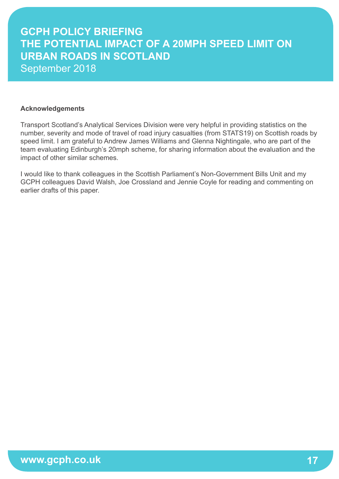#### **Acknowledgements**

Transport Scotland's Analytical Services Division were very helpful in providing statistics on the number, severity and mode of travel of road injury casualties (from STATS19) on Scottish roads by speed limit. I am grateful to Andrew James Williams and Glenna Nightingale, who are part of the team evaluating Edinburgh's 20mph scheme, for sharing information about the evaluation and the impact of other similar schemes.

I would like to thank colleagues in the Scottish Parliament's Non-Government Bills Unit and my GCPH colleagues David Walsh, Joe Crossland and Jennie Coyle for reading and commenting on earlier drafts of this paper.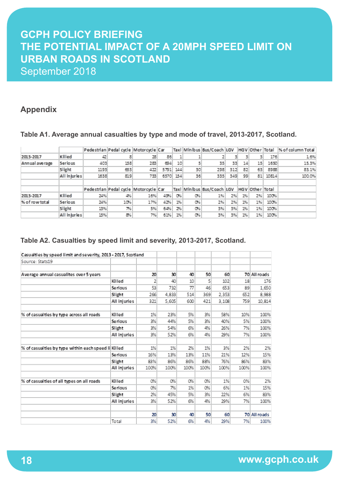### **Appendix**

#### **Table A1. Average annual casualties by type and mode of travel, 2013-2017, Scotland.**

|                |              |      | Pedestrian Pedal cycle Motorcycle Car |     |          |     |     |                                              |     |    |     |       | Taxl   Minibus   Bus/Coach   LGV   HGV   Other   Total   % of column Total |
|----------------|--------------|------|---------------------------------------|-----|----------|-----|-----|----------------------------------------------|-----|----|-----|-------|----------------------------------------------------------------------------|
| 2013-2017      | Killed       | 42   |                                       | 28  | 86.      | ı   |     |                                              |     |    |     | 176   | 1.6%                                                                       |
| Annual average | Serlous      | 403  | 158                                   | 283 | 694      | 10  |     | 35                                           | 33  | 14 | 15  | 1650  | 15.3%                                                                      |
|                | Slight       | 1193 | 653                                   | 422 | 5791     | 144 | 30  | 298                                          | 312 | 82 | 63  | 8988  | 83.1%                                                                      |
|                | All Injuries | 1638 | 819                                   | 733 | 6570 154 |     | 36  | 335                                          | 349 | 99 | 81. | 10814 | 100.0%                                                                     |
|                |              |      |                                       |     |          |     |     |                                              |     |    |     |       |                                                                            |
|                |              |      | Pedestrian Pedal cycle Motorcycle Car |     |          |     |     | Taxi Minibus Bus/Coach LGV   HGV Other Total |     |    |     |       |                                                                            |
| 2013-2017      | Killed       | 24%  | 4%                                    | 16% | 49%      | OX. | O%  | 1%                                           | 2%  | 1% | 2%  | 100%  |                                                                            |
| % of row total | Serlous      | 24%  | 10%                                   | 17% | 42%      | 1%  | O%  | 2%                                           | 2%  | 1% | 1%  | 100%  |                                                                            |
|                | Slight       | 13%  | 7%                                    | 5%) | 64%      | 2%  | OK. | 3%                                           | 3%. | 1% | 1%  | 100%  |                                                                            |
|                | All injuries | 15%  | 8%                                    | 7%. | 61%      | 1%  | O%  | 3%                                           | 3%. | 1% | 1%  | 100%  |                                                                            |

#### **Table A2. Casualties by speed limit and severity, 2013-2017, Scotland.**

| Casualties by speed limit and severity, 2013 - 2017, Scotland |                |      |       |      |      |       |      |              |
|---------------------------------------------------------------|----------------|------|-------|------|------|-------|------|--------------|
| Source: Stats19                                               |                |      |       |      |      |       |      |              |
|                                                               |                |      |       |      |      |       |      |              |
| Average annual casualites over 5 years                        |                | 20   | 30    | 40   | 50   | 60    |      | 70 All roads |
|                                                               | Killed         | 2    | 40    | 10   | 51   | 102   | 18   | 176          |
|                                                               | <b>Serious</b> | 53   | 732   | 77   | 46   | 653   | 89   | 1,650        |
|                                                               | Slight         | 266  | 4.833 | 514  | 369  | 2,353 | 652  | 8,988        |
|                                                               | All injuries   | 321  | 5.605 | 600  | 421  | 3.108 | 759  | 10.814       |
| % of casual ties by type across all roads                     | Killed         | 1%   | 23%   | 5%   | 3%   | 58%   | 10%  | 100%         |
|                                                               | <b>Serious</b> | 3%   | 44%   | 5%   | 3%   | 40%   | 5%   | 100%         |
|                                                               | Slight         | 3%   | 54%   | 6%   | 4%   | 26%   | 7%   | 100%         |
|                                                               | All injuries   | 3%   | 52%   | 6%   | 4%   | 29%   | 7%   | 100%         |
| % of casual ties by type within each speed II Killed          |                | 1%   | 1%    | 2%   | 1%   | 3%    | 2%   | 2%           |
|                                                               | <b>Serious</b> | 16%  | 13%   | 13%  | 11%  | 21%   | 12%  | 15%          |
|                                                               | Slight         | 83%  | 86%   | 86%  | 88%  | 76%   | 86%  | 83%          |
|                                                               | All injuries   | 100% | 100%  | 100% | 100% | 100%  | 100% | 100%         |
| % of casual ties of all types on all roads                    | Killed         | 0%   | 0%    | 0%   | 0%   | 1%    | 0%   | 2%           |
|                                                               | <b>Serious</b> | 0%   | 7%    | 1%   | 0%   | 6%    | 1%   | 15%          |
|                                                               |                |      |       |      |      |       |      |              |
|                                                               | Slight         | 2%   | 45%   | 5%   | 3%   | 22%   | 6%   | 83%          |
|                                                               | All injuries   | 3%   | 52%   | 6%   | 4%   | 29%   | 7%   | 100%         |
|                                                               |                | 20   | 30    | 40   | 50   | 60    |      | 70 All roads |
|                                                               | Total          | 3%   | 52%   | 6%   | 4%   | 29%   | 7%   | 100%         |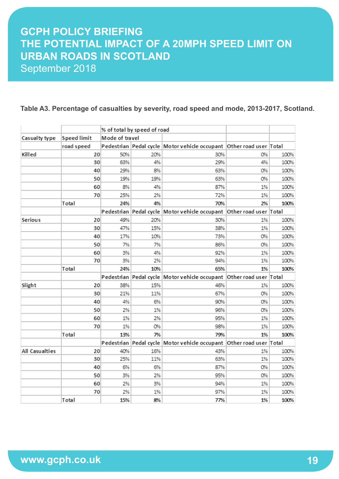#### **Table A3. Percentage of casualties by severity, road speed and mode, 2013-2017, Scotland.**

|                |             |                | % of total by speed of road |                                                                     |    |      |
|----------------|-------------|----------------|-----------------------------|---------------------------------------------------------------------|----|------|
| Casualty type  | Speed limit | Mode of travel |                             |                                                                     |    |      |
|                | road speed  |                |                             | Pedestrian Pedal cycle Motor vehicle occupant Other road user Total |    |      |
| Killed         | 20          | 50%            | 20%                         | 30%                                                                 | 0% | 100% |
|                | 30          | 63%            | 4%                          | 29%                                                                 | 4% | 100% |
|                | 40          | 29%            | 8%                          | 63%                                                                 | 0% | 100% |
|                | 50          | 19%            | 19%                         | 63%                                                                 | 0% | 100% |
|                | 60          | 8%             | 4%                          | 87%                                                                 | 1% | 100% |
|                | 70          | 25%            | 2%                          | 72%                                                                 | 1% | 100% |
|                | Total       | 24%            | 4%                          | 70%                                                                 | 2% | 100% |
|                |             |                |                             | Pedestrian Pedal cycle Motor vehicle occupant Other road user Total |    |      |
| Serious        | 20          | 49%            | 20%                         | 30%                                                                 | 1% | 100% |
|                | 30          | 47%            | 15%                         | 38%                                                                 | 1% | 100% |
|                | 40          | 17%            | 10%                         | 73%                                                                 | 0% | 100% |
|                | 50          | 7%             | 7%                          | 86%                                                                 | 0% | 100% |
|                | 60          | 3%             | 4%                          | 92%                                                                 | 1% | 100% |
|                | 70          | 3%             | 2%                          | 94%                                                                 | 1% | 100% |
|                | Total       | 24%            | 10%                         | 65%                                                                 | 1% | 100% |
|                |             |                |                             | Pedestrian Pedal cycle Motor vehicle occupant Other road user Total |    |      |
| Slight         | 20          | 38%            | 15%                         | 46%                                                                 | 1% | 100% |
|                | 30          | 21%            | 11%                         | 67%                                                                 | 0% | 100% |
|                | 40          | 4%             | 6%                          | 90%                                                                 | 0% | 100% |
|                | 50          | 2%             | 1%                          | 96%                                                                 | 0% | 100% |
|                | 60          | 1%             | 2%                          | 95%                                                                 | 1% | 100% |
|                | 70          | 1%             | 0%                          | 98%                                                                 | 1% | 100% |
|                | Total       | 13%            | 7%                          | 79%                                                                 | 1% | 100% |
|                |             |                |                             | Pedestrian Pedal cycle Motor vehicle occupant Other road user Total |    |      |
| All Casualties | 20          | 40%            | 16%                         | 43%                                                                 | 1% | 100% |
|                | 30          | 25%            | 11%                         | 63%                                                                 | 1% | 100% |
|                | 40          | 6%             | 6%                          | 87%                                                                 | 0% | 100% |
|                | 50          | 3%             | 2%                          | 95%                                                                 | 0% | 100% |
|                | 60          | 2%             | 3%                          | 94%                                                                 | 1% | 100% |
|                | 70          | 2%             | 1%                          | 97%                                                                 | 1% | 100% |
|                | Total       | 15%            | 8%                          | 77%                                                                 | 1% | 100% |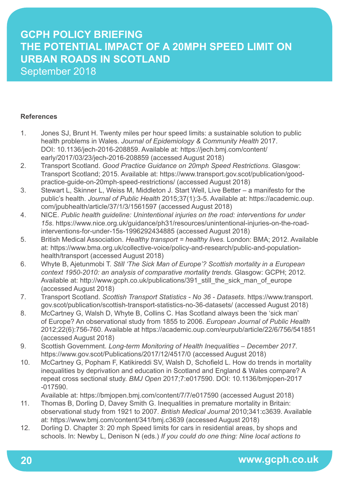#### **References**

- 1. Jones SJ, Brunt H. Twenty miles per hour speed limits: a sustainable solution to public health problems in Wales. *Journal of Epidemiology & Community Health* 2017. DOI: 10.1136/jech-2016-208859. Available at: https://jech.bmj.com/content/ early/2017/03/23/jech-2016-208859 (accessed August 2018)
- 2. Transport Scotland. *Good Practice Guidance on 20mph Speed Restrictions*. Glasgow: Transport Scotland; 2015. Available at: https://www.transport.gov.scot/publication/goodpractice-guide-on-20mph-speed-restrictions/ (accessed August 2018)
- 3. Stewart L, Skinner L, Weiss M, Middleton J. Start Well, Live Better a manifesto for the public's health. *Journal of Public Health* 2015;37(1):3-5. Available at: https://academic.oup. com/jpubhealth/article/37/1/3/1561597 (accessed August 2018)
- 4. NICE. *Public health guideline: Unintentional injuries on the road: interventions for under 15s*. https://www.nice.org.uk/guidance/ph31/resources/unintentional-injuries-on-the-roadinterventions-for-under-15s-1996292434885 (accessed August 2018)
- 5. British Medical Association. *Healthy transport = healthy lives.* London: BMA; 2012. Available at: https://www.bma.org.uk/collective-voice/policy-and-research/public-and-populationhealth/transport (accessed August 2018)
- 6. Whyte B, Ajetunmobi T. *Still 'The Sick Man of Europe'? Scottish mortality in a European context 1950-2010: an analysis of comparative mortality trends*. Glasgow: GCPH; 2012. Available at: http://www.gcph.co.uk/publications/391\_still\_the\_sick\_man\_of\_europe (accessed August 2018)
- 7. Transport Scotland. *Scottish Transport Statistics No 36 Datasets*. https://www.transport. gov.scot/publication/scottish-transport-statistics-no-36-datasets/ (accessed August 2018)
- 8. McCartney G, Walsh D, Whyte B, Collins C. Has Scotland always been the 'sick man' of Europe? An observational study from 1855 to 2006. *European Journal of Public Health*  2012;22(6):756-760. Available at https://academic.oup.com/eurpub/article/22/6/756/541851 (accessed August 2018)
- 9. Scottish Government. *Long-term Monitoring of Health Inequalities December 2017*. https://www.gov.scot/Publications/2017/12/4517/0 (accessed August 2018)
- 10. McCartney G, Popham F, Katikireddi SV, Walsh D, Schofield L. How do trends in mortality inequalities by deprivation and education in Scotland and England & Wales compare? A repeat cross sectional study. *BMJ Open* 2017;7:e017590. DOI: 10.1136/bmjopen-2017 -017590.

Available at: https://bmjopen.bmj.com/content/7/7/e017590 (accessed August 2018)

- 11. Thomas B, Dorling D, Davey Smith G. Inequalities in premature mortality in Britain: observational study from 1921 to 2007. *British Medical Journal* 2010;341:c3639. Available at: https://www.bmj.com/content/341/bmj.c3639 (accessed August 2018)
- 12. Dorling D. Chapter 3: 20 mph Speed limits for cars in residential areas, by shops and schools. In: Newby L, Denison N (eds.) *If you could do one thing: Nine local actions to*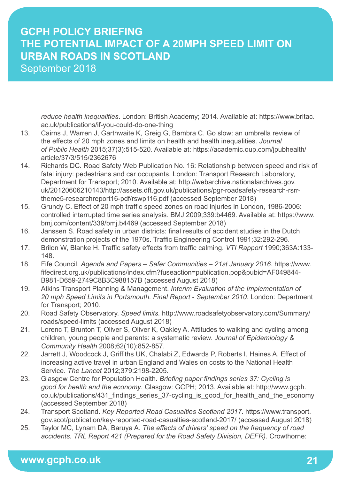*reduce health inequalities*. London: British Academy; 2014. Available at: https://www.britac. ac.uk/publications/if-you-could-do-one-thing

- 13. Cairns J, Warren J, Garthwaite K, Greig G, Bambra C. Go slow: an umbrella review of the effects of 20 mph zones and limits on health and health inequalities. *Journal of Public Health* 2015;37(3):515-520. Available at: https://academic.oup.com/jpubhealth/ article/37/3/515/2362676
- 14. Richards DC. Road Safety Web Publication No. 16: Relationship between speed and risk of fatal injury: pedestrians and car occupants. London: Transport Research Laboratory, Department for Transport; 2010. Available at: http://webarchive.nationalarchives.gov. uk/20120606210143/http://assets.dft.gov.uk/publications/pgr-roadsafety-research-rsrrtheme5-researchreport16-pdf/rswp116.pdf (accessed September 2018)
- 15. Grundy C. Effect of 20 mph traffic speed zones on road injuries in London, 1986-2006: controlled interrupted time series analysis. BMJ 2009;339:b4469. Available at: https://www. bmj.com/content/339/bmj.b4469 (accessed September 2018)
- 16. Janssen S. Road safety in urban districts: final results of accident studies in the Dutch demonstration projects of the 1970s. Traffic Engineering Control 1991;32:292-296.
- 17. Brilon W, Blanke H. Traffic safety effects from traffic calming. *VTI Rapport* 1990;363A:133- 148.
- 18. Fife Council. *Agenda and Papers Safer Communities 21st January 2016*. https://www. fifedirect.org.uk/publications/index.cfm?fuseaction=publication.pop&pubid=AF049844- B981-D659-2749C8B3C988157B (accessed August 2018)
- 19. Atkins Transport Planning & Management. *Interim Evaluation of the Implementation of 20 mph Speed Limits in Portsmouth. Final Report - September 2010*. London: Department for Transport; 2010.
- 20. Road Safety Observatory. *Speed limits.* http://www.roadsafetyobservatory.com/Summary/ roads/speed-limits (accessed August 2018)
- 21. Lorenc T, Brunton T, Oliver S, Oliver K, Oakley A. Attitudes to walking and cycling among children, young people and parents: a systematic review. *Journal of Epidemiology & Community Health* 2008;62(10):852-857.
- 22. Jarrett J, Woodcock J, Griffiths UK, Chalabi Z, Edwards P, Roberts I, Haines A. Effect of increasing active travel in urban England and Wales on costs to the National Health Service. *The Lancet* 2012;379:2198-2205.
- 23. Glasgow Centre for Population Health. *Briefing paper findings series 37: Cycling is good for health and the economy*. Glasgow: GCPH; 2013. Available at: http://www.gcph. co.uk/publications/431 findings series 37-cycling is good for health and the economy (accessed September 2018)
- 24. Transport Scotland. *Key Reported Road Casualties Scotland 2017*. https://www.transport. gov.scot/publication/key-reported-road-casualties-scotland-2017/ (accessed August 2018)
- 25. Taylor MC, Lynam DA, Baruya A. *The effects of drivers' speed on the frequency of road accidents. TRL Report 421 (Prepared for the Road Safety Division, DEFR)*. Crowthorne: